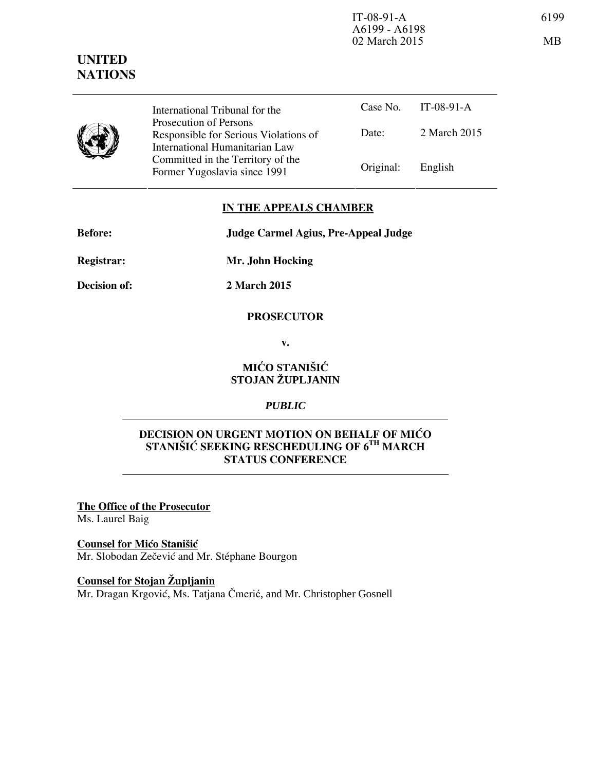IT-08-91-A 6199 A6199 - A6198 02 March 2015 MB

|  | International Tribunal for the                                                                    |           | Case No. IT-08-91-A |
|--|---------------------------------------------------------------------------------------------------|-----------|---------------------|
|  | Prosecution of Persons<br>Responsible for Serious Violations of<br>International Humanitarian Law | Date:     | 2 March 2015        |
|  | Committed in the Territory of the<br>Former Yugoslavia since 1991                                 | Original: | English             |

### **IN THE APPEALS CHAMBER**

**Before: Judge Carmel Agius, Pre-Appeal Judge** 

**Registrar: Mr. John Hocking** 

**Decision of: 2 March 2015** 

#### **PROSECUTOR**

**v.** 

## **MIĆO STANIŠIĆ STOJAN ŽUPLJANIN**

# *PUBLIC*

## **DECISION ON URGENT MOTION ON BEHALF OF MIĆO STANI[I] SEEKING RESCHEDULING OF 6TH MARCH STATUS CONFERENCE**

**The Office of the Prosecutor** Ms. Laurel Baig

**Counsel for Mićo Stanišić** Mr. Slobodan Zečević and Mr. Stéphane Bourgon

**Counsel for Stojan Župljanin** Mr. Dragan Krgović, Ms. Tatjana Čmerić, and Mr. Christopher Gosnell